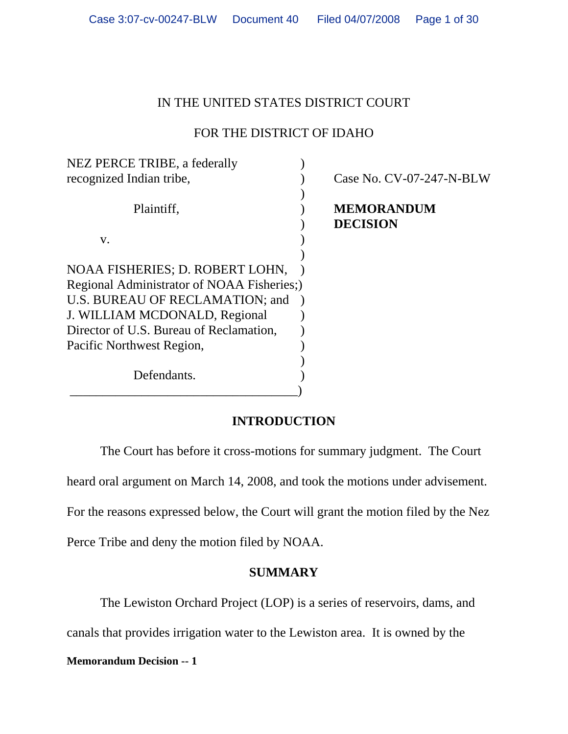# IN THE UNITED STATES DISTRICT COURT

# FOR THE DISTRICT OF IDAHO

| NEZ PERCE TRIBE, a federally               |                                      |
|--------------------------------------------|--------------------------------------|
| recognized Indian tribe,                   | Case No. CV-07-247-N-BLW             |
| Plaintiff,                                 | <b>MEMORANDUM</b><br><b>DECISION</b> |
| V.                                         |                                      |
| NOAA FISHERIES; D. ROBERT LOHN,            |                                      |
| Regional Administrator of NOAA Fisheries;) |                                      |
| U.S. BUREAU OF RECLAMATION; and            |                                      |
| J. WILLIAM MCDONALD, Regional              |                                      |
| Director of U.S. Bureau of Reclamation,    |                                      |
| Pacific Northwest Region,                  |                                      |
|                                            |                                      |
| Defendants.                                |                                      |
|                                            |                                      |

# **INTRODUCTION**

The Court has before it cross-motions for summary judgment. The Court

heard oral argument on March 14, 2008, and took the motions under advisement.

For the reasons expressed below, the Court will grant the motion filed by the Nez

Perce Tribe and deny the motion filed by NOAA.

# **SUMMARY**

The Lewiston Orchard Project (LOP) is a series of reservoirs, dams, and

canals that provides irrigation water to the Lewiston area. It is owned by the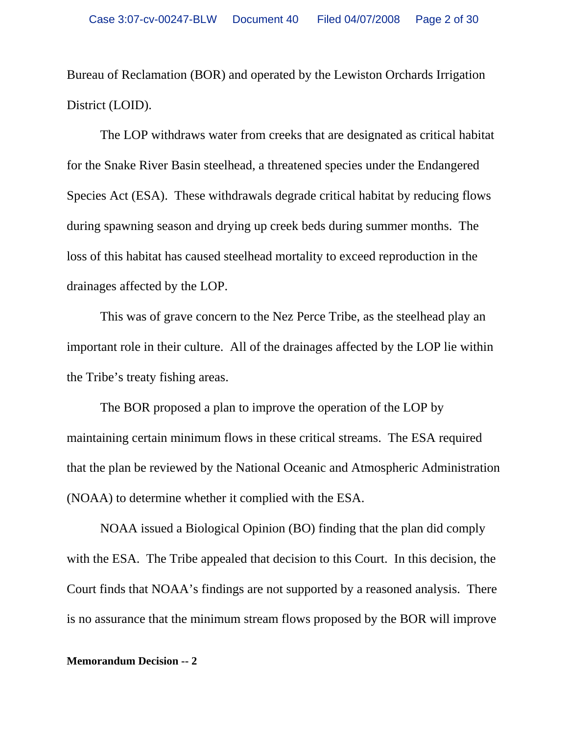Bureau of Reclamation (BOR) and operated by the Lewiston Orchards Irrigation District (LOID).

The LOP withdraws water from creeks that are designated as critical habitat for the Snake River Basin steelhead, a threatened species under the Endangered Species Act (ESA). These withdrawals degrade critical habitat by reducing flows during spawning season and drying up creek beds during summer months. The loss of this habitat has caused steelhead mortality to exceed reproduction in the drainages affected by the LOP.

This was of grave concern to the Nez Perce Tribe, as the steelhead play an important role in their culture. All of the drainages affected by the LOP lie within the Tribe's treaty fishing areas.

The BOR proposed a plan to improve the operation of the LOP by maintaining certain minimum flows in these critical streams. The ESA required that the plan be reviewed by the National Oceanic and Atmospheric Administration (NOAA) to determine whether it complied with the ESA.

NOAA issued a Biological Opinion (BO) finding that the plan did comply with the ESA. The Tribe appealed that decision to this Court. In this decision, the Court finds that NOAA's findings are not supported by a reasoned analysis. There is no assurance that the minimum stream flows proposed by the BOR will improve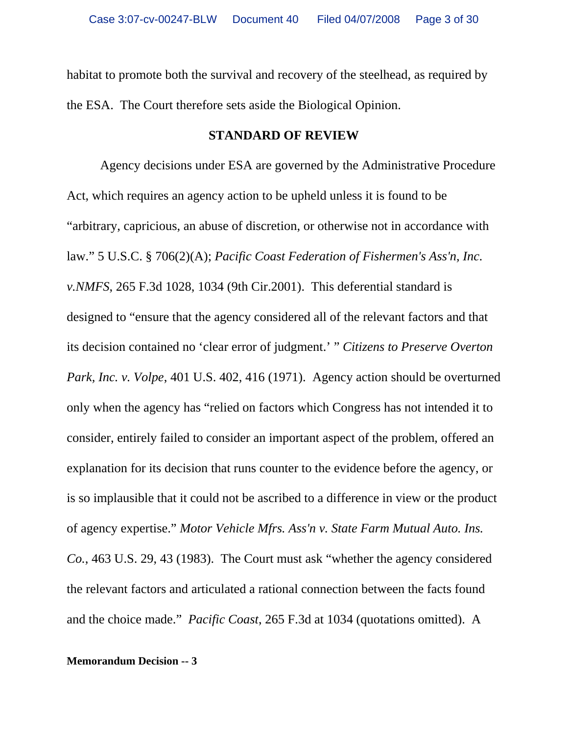habitat to promote both the survival and recovery of the steelhead, as required by the ESA. The Court therefore sets aside the Biological Opinion.

### **STANDARD OF REVIEW**

Agency decisions under ESA are governed by the Administrative Procedure Act, which requires an agency action to be upheld unless it is found to be "arbitrary, capricious, an abuse of discretion, or otherwise not in accordance with law." 5 U.S.C. § 706(2)(A); *Pacific Coast Federation of Fishermen's Ass'n, Inc. v.NMFS*, 265 F.3d 1028, 1034 (9th Cir.2001). This deferential standard is designed to "ensure that the agency considered all of the relevant factors and that its decision contained no 'clear error of judgment.' " *Citizens to Preserve Overton Park, Inc. v. Volpe*, 401 U.S. 402, 416 (1971). Agency action should be overturned only when the agency has "relied on factors which Congress has not intended it to consider, entirely failed to consider an important aspect of the problem, offered an explanation for its decision that runs counter to the evidence before the agency, or is so implausible that it could not be ascribed to a difference in view or the product of agency expertise." *Motor Vehicle Mfrs. Ass'n v. State Farm Mutual Auto. Ins. Co.*, 463 U.S. 29, 43 (1983). The Court must ask "whether the agency considered the relevant factors and articulated a rational connection between the facts found and the choice made." *Pacific Coast*, 265 F.3d at 1034 (quotations omitted). A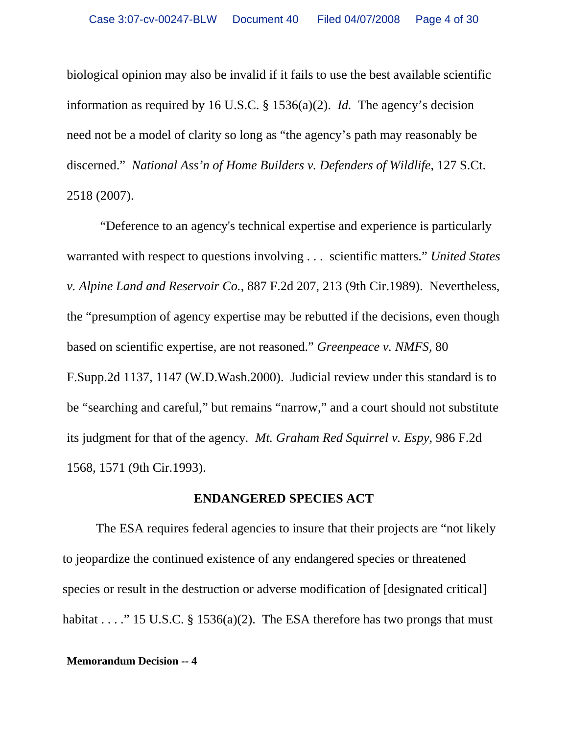biological opinion may also be invalid if it fails to use the best available scientific information as required by 16 U.S.C. § 1536(a)(2). *Id.* The agency's decision need not be a model of clarity so long as "the agency's path may reasonably be discerned." *National Ass'n of Home Builders v. Defenders of Wildlife*, 127 S.Ct. 2518 (2007).

"Deference to an agency's technical expertise and experience is particularly warranted with respect to questions involving . . . scientific matters." *United States v. Alpine Land and Reservoir Co.*, 887 F.2d 207, 213 (9th Cir.1989). Nevertheless, the "presumption of agency expertise may be rebutted if the decisions, even though based on scientific expertise, are not reasoned." *Greenpeace v. NMFS*, 80 F.Supp.2d 1137, 1147 (W.D.Wash.2000). Judicial review under this standard is to be "searching and careful," but remains "narrow," and a court should not substitute its judgment for that of the agency*. Mt. Graham Red Squirrel v. Espy*, 986 F.2d 1568, 1571 (9th Cir.1993).

### **ENDANGERED SPECIES ACT**

The ESA requires federal agencies to insure that their projects are "not likely to jeopardize the continued existence of any endangered species or threatened species or result in the destruction or adverse modification of [designated critical] habitat . . . ." 15 U.S.C. § 1536(a)(2). The ESA therefore has two prongs that must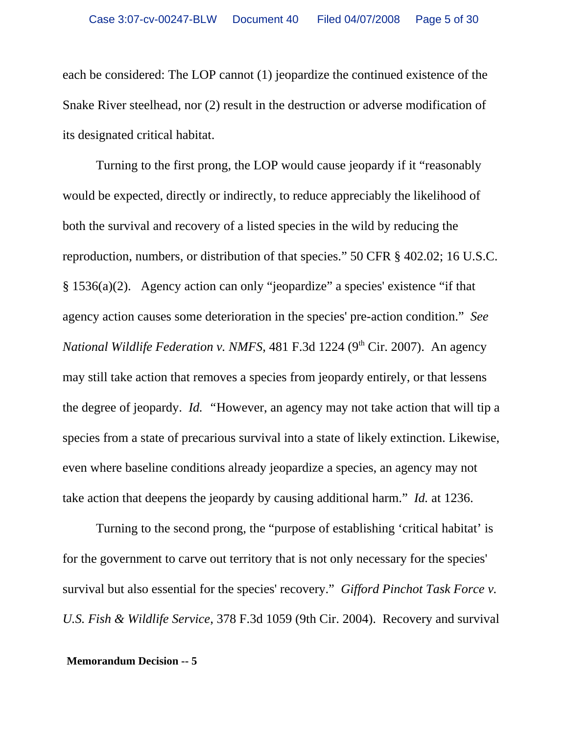each be considered: The LOP cannot (1) jeopardize the continued existence of the Snake River steelhead, nor (2) result in the destruction or adverse modification of its designated critical habitat.

Turning to the first prong, the LOP would cause jeopardy if it "reasonably would be expected, directly or indirectly, to reduce appreciably the likelihood of both the survival and recovery of a listed species in the wild by reducing the reproduction, numbers, or distribution of that species." 50 CFR § 402.02; 16 U.S.C. § 1536(a)(2). Agency action can only "jeopardize" a species' existence "if that agency action causes some deterioration in the species' pre-action condition." *See National Wildlife Federation v. NMFS*, 481 F.3d 1224 (9<sup>th</sup> Cir. 2007). An agency may still take action that removes a species from jeopardy entirely, or that lessens the degree of jeopardy. *Id. "*However, an agency may not take action that will tip a species from a state of precarious survival into a state of likely extinction. Likewise, even where baseline conditions already jeopardize a species, an agency may not take action that deepens the jeopardy by causing additional harm." *Id.* at 1236.

Turning to the second prong, the "purpose of establishing 'critical habitat' is for the government to carve out territory that is not only necessary for the species' survival but also essential for the species' recovery." *Gifford Pinchot Task Force v. U.S. Fish & Wildlife Service*, 378 F.3d 1059 (9th Cir. 2004). Recovery and survival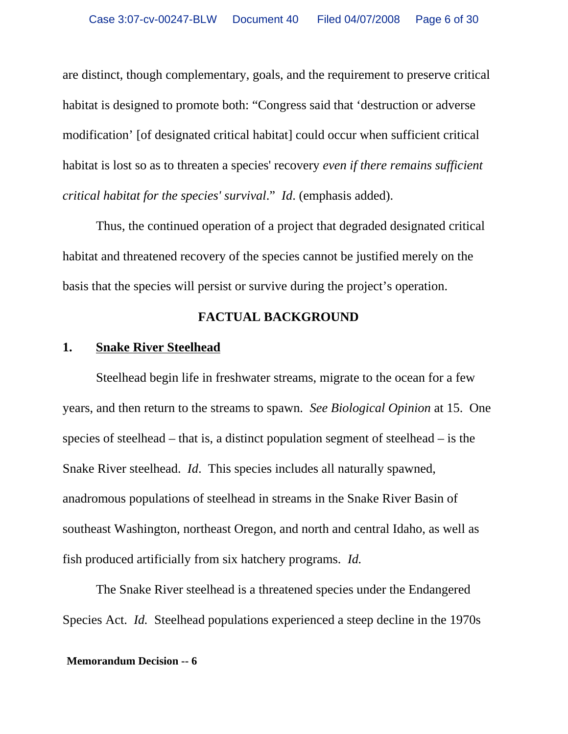are distinct, though complementary, goals, and the requirement to preserve critical habitat is designed to promote both: "Congress said that 'destruction or adverse modification' [of designated critical habitat] could occur when sufficient critical habitat is lost so as to threaten a species' recovery *even if there remains sufficient critical habitat for the species' survival*." *Id*. (emphasis added).

Thus, the continued operation of a project that degraded designated critical habitat and threatened recovery of the species cannot be justified merely on the basis that the species will persist or survive during the project's operation.

### **FACTUAL BACKGROUND**

## **1. Snake River Steelhead**

Steelhead begin life in freshwater streams, migrate to the ocean for a few years, and then return to the streams to spawn. *See Biological Opinion* at 15. One species of steelhead – that is, a distinct population segment of steelhead – is the Snake River steelhead. *Id*. This species includes all naturally spawned, anadromous populations of steelhead in streams in the Snake River Basin of southeast Washington, northeast Oregon, and north and central Idaho, as well as fish produced artificially from six hatchery programs. *Id.* 

The Snake River steelhead is a threatened species under the Endangered Species Act. *Id.* Steelhead populations experienced a steep decline in the 1970s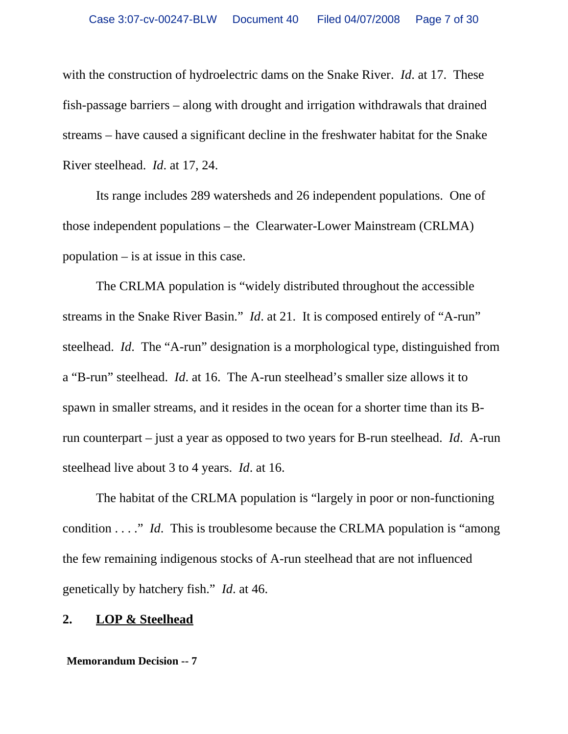with the construction of hydroelectric dams on the Snake River. *Id*. at 17. These fish-passage barriers – along with drought and irrigation withdrawals that drained streams – have caused a significant decline in the freshwater habitat for the Snake River steelhead. *Id*. at 17, 24.

Its range includes 289 watersheds and 26 independent populations. One of those independent populations – the Clearwater-Lower Mainstream (CRLMA) population – is at issue in this case.

The CRLMA population is "widely distributed throughout the accessible streams in the Snake River Basin." *Id*. at 21. It is composed entirely of "A-run" steelhead. *Id*. The "A-run" designation is a morphological type, distinguished from a "B-run" steelhead. *Id*. at 16. The A-run steelhead's smaller size allows it to spawn in smaller streams, and it resides in the ocean for a shorter time than its Brun counterpart – just a year as opposed to two years for B-run steelhead. *Id*. A-run steelhead live about 3 to 4 years. *Id*. at 16.

The habitat of the CRLMA population is "largely in poor or non-functioning condition . . . ." *Id*. This is troublesome because the CRLMA population is "among the few remaining indigenous stocks of A-run steelhead that are not influenced genetically by hatchery fish." *Id*. at 46.

#### **2. LOP & Steelhead**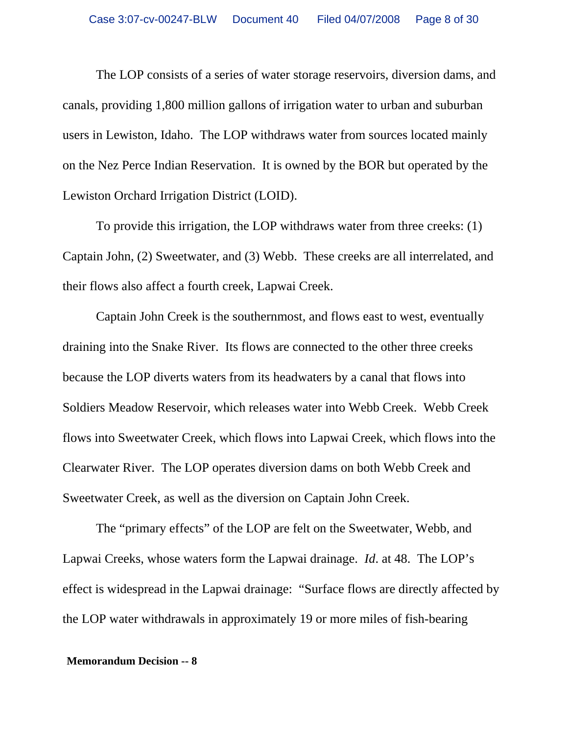The LOP consists of a series of water storage reservoirs, diversion dams, and canals, providing 1,800 million gallons of irrigation water to urban and suburban users in Lewiston, Idaho. The LOP withdraws water from sources located mainly on the Nez Perce Indian Reservation. It is owned by the BOR but operated by the Lewiston Orchard Irrigation District (LOID).

To provide this irrigation, the LOP withdraws water from three creeks: (1) Captain John, (2) Sweetwater, and (3) Webb. These creeks are all interrelated, and their flows also affect a fourth creek, Lapwai Creek.

Captain John Creek is the southernmost, and flows east to west, eventually draining into the Snake River. Its flows are connected to the other three creeks because the LOP diverts waters from its headwaters by a canal that flows into Soldiers Meadow Reservoir, which releases water into Webb Creek. Webb Creek flows into Sweetwater Creek, which flows into Lapwai Creek, which flows into the Clearwater River. The LOP operates diversion dams on both Webb Creek and Sweetwater Creek, as well as the diversion on Captain John Creek.

The "primary effects" of the LOP are felt on the Sweetwater, Webb, and Lapwai Creeks, whose waters form the Lapwai drainage. *Id*. at 48. The LOP's effect is widespread in the Lapwai drainage: "Surface flows are directly affected by the LOP water withdrawals in approximately 19 or more miles of fish-bearing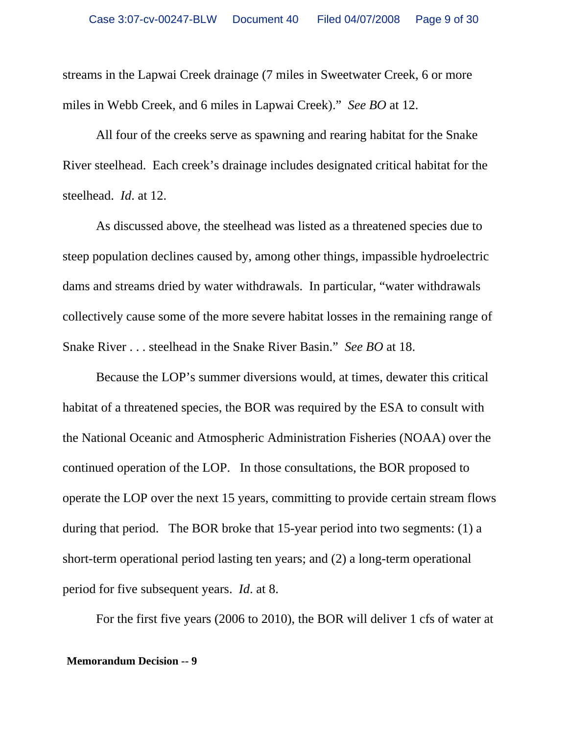streams in the Lapwai Creek drainage (7 miles in Sweetwater Creek, 6 or more miles in Webb Creek, and 6 miles in Lapwai Creek)." *See BO* at 12.

All four of the creeks serve as spawning and rearing habitat for the Snake River steelhead. Each creek's drainage includes designated critical habitat for the steelhead. *Id*. at 12.

As discussed above, the steelhead was listed as a threatened species due to steep population declines caused by, among other things, impassible hydroelectric dams and streams dried by water withdrawals. In particular, "water withdrawals collectively cause some of the more severe habitat losses in the remaining range of Snake River . . . steelhead in the Snake River Basin." *See BO* at 18.

Because the LOP's summer diversions would, at times, dewater this critical habitat of a threatened species, the BOR was required by the ESA to consult with the National Oceanic and Atmospheric Administration Fisheries (NOAA) over the continued operation of the LOP. In those consultations, the BOR proposed to operate the LOP over the next 15 years, committing to provide certain stream flows during that period. The BOR broke that 15-year period into two segments: (1) a short-term operational period lasting ten years; and (2) a long-term operational period for five subsequent years. *Id*. at 8.

For the first five years (2006 to 2010), the BOR will deliver 1 cfs of water at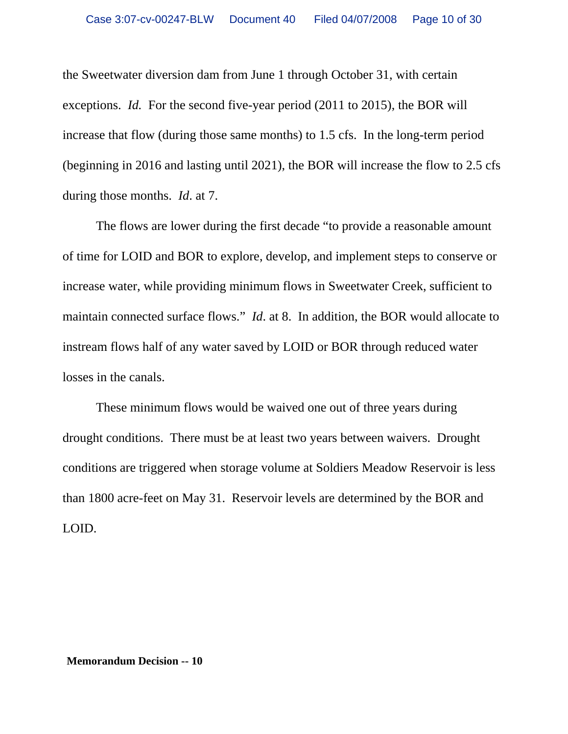the Sweetwater diversion dam from June 1 through October 31, with certain exceptions. *Id.* For the second five-year period (2011 to 2015), the BOR will increase that flow (during those same months) to 1.5 cfs. In the long-term period (beginning in 2016 and lasting until 2021), the BOR will increase the flow to 2.5 cfs during those months. *Id*. at 7.

The flows are lower during the first decade "to provide a reasonable amount of time for LOID and BOR to explore, develop, and implement steps to conserve or increase water, while providing minimum flows in Sweetwater Creek, sufficient to maintain connected surface flows." *Id*. at 8. In addition, the BOR would allocate to instream flows half of any water saved by LOID or BOR through reduced water losses in the canals.

These minimum flows would be waived one out of three years during drought conditions. There must be at least two years between waivers. Drought conditions are triggered when storage volume at Soldiers Meadow Reservoir is less than 1800 acre-feet on May 31. Reservoir levels are determined by the BOR and LOID.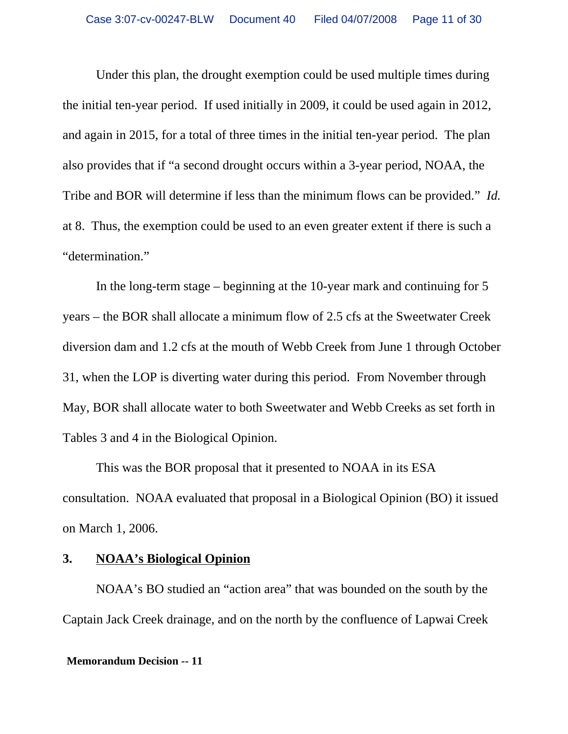Under this plan, the drought exemption could be used multiple times during the initial ten-year period. If used initially in 2009, it could be used again in 2012, and again in 2015, for a total of three times in the initial ten-year period. The plan also provides that if "a second drought occurs within a 3-year period, NOAA, the Tribe and BOR will determine if less than the minimum flows can be provided." *Id.* at 8. Thus, the exemption could be used to an even greater extent if there is such a "determination."

In the long-term stage – beginning at the 10-year mark and continuing for 5 years – the BOR shall allocate a minimum flow of 2.5 cfs at the Sweetwater Creek diversion dam and 1.2 cfs at the mouth of Webb Creek from June 1 through October 31, when the LOP is diverting water during this period. From November through May, BOR shall allocate water to both Sweetwater and Webb Creeks as set forth in Tables 3 and 4 in the Biological Opinion.

This was the BOR proposal that it presented to NOAA in its ESA consultation. NOAA evaluated that proposal in a Biological Opinion (BO) it issued on March 1, 2006.

## **3. NOAA's Biological Opinion**

NOAA's BO studied an "action area" that was bounded on the south by the Captain Jack Creek drainage, and on the north by the confluence of Lapwai Creek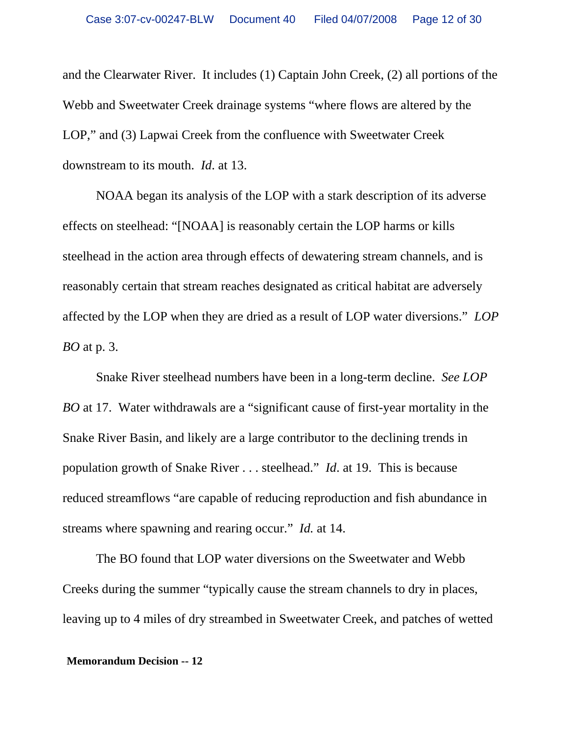and the Clearwater River. It includes (1) Captain John Creek, (2) all portions of the Webb and Sweetwater Creek drainage systems "where flows are altered by the LOP," and (3) Lapwai Creek from the confluence with Sweetwater Creek downstream to its mouth. *Id*. at 13.

NOAA began its analysis of the LOP with a stark description of its adverse effects on steelhead: "[NOAA] is reasonably certain the LOP harms or kills steelhead in the action area through effects of dewatering stream channels, and is reasonably certain that stream reaches designated as critical habitat are adversely affected by the LOP when they are dried as a result of LOP water diversions." *LOP BO* at p. 3.

Snake River steelhead numbers have been in a long-term decline. *See LOP BO* at 17. Water withdrawals are a "significant cause of first-year mortality in the Snake River Basin, and likely are a large contributor to the declining trends in population growth of Snake River . . . steelhead." *Id*. at 19. This is because reduced streamflows "are capable of reducing reproduction and fish abundance in streams where spawning and rearing occur." *Id.* at 14.

The BO found that LOP water diversions on the Sweetwater and Webb Creeks during the summer "typically cause the stream channels to dry in places, leaving up to 4 miles of dry streambed in Sweetwater Creek, and patches of wetted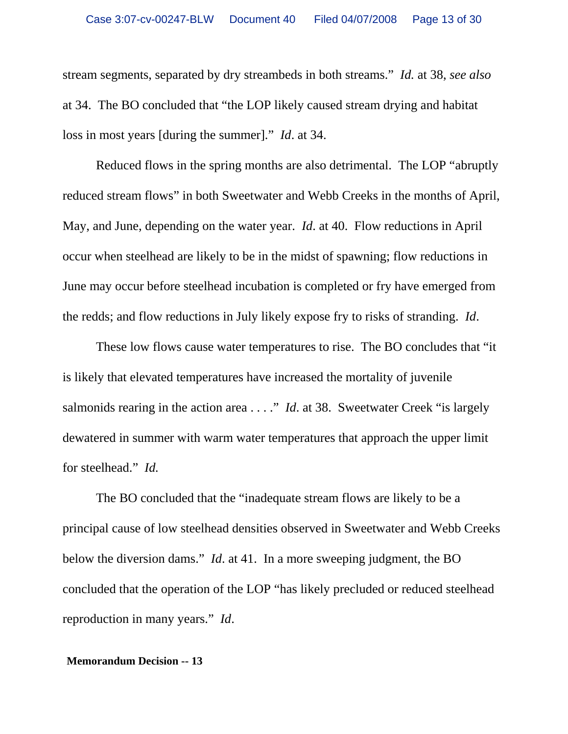stream segments, separated by dry streambeds in both streams." *Id.* at 38, *see also* at 34. The BO concluded that "the LOP likely caused stream drying and habitat loss in most years [during the summer]." *Id*. at 34.

Reduced flows in the spring months are also detrimental. The LOP "abruptly reduced stream flows" in both Sweetwater and Webb Creeks in the months of April, May, and June, depending on the water year. *Id*. at 40. Flow reductions in April occur when steelhead are likely to be in the midst of spawning; flow reductions in June may occur before steelhead incubation is completed or fry have emerged from the redds; and flow reductions in July likely expose fry to risks of stranding. *Id*.

These low flows cause water temperatures to rise. The BO concludes that "it is likely that elevated temperatures have increased the mortality of juvenile salmonids rearing in the action area . . . ." *Id*. at 38. Sweetwater Creek "is largely dewatered in summer with warm water temperatures that approach the upper limit for steelhead." *Id.* 

The BO concluded that the "inadequate stream flows are likely to be a principal cause of low steelhead densities observed in Sweetwater and Webb Creeks below the diversion dams." *Id*. at 41. In a more sweeping judgment, the BO concluded that the operation of the LOP "has likely precluded or reduced steelhead reproduction in many years." *Id*.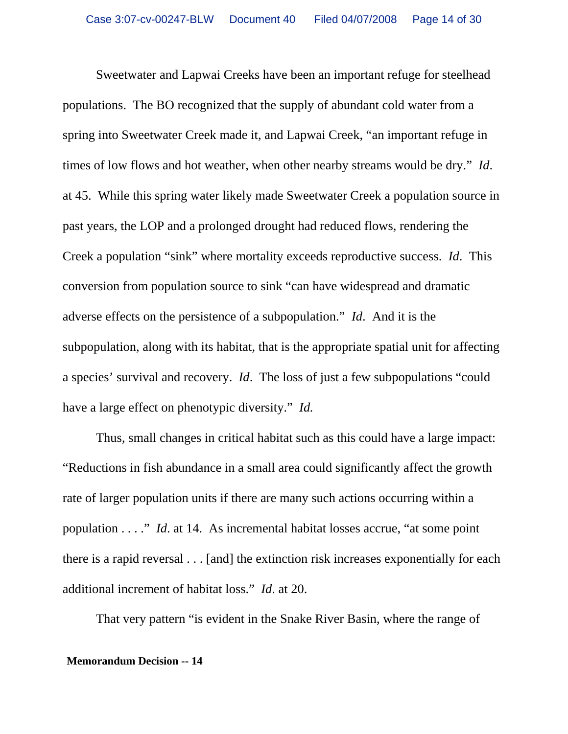Sweetwater and Lapwai Creeks have been an important refuge for steelhead populations. The BO recognized that the supply of abundant cold water from a spring into Sweetwater Creek made it, and Lapwai Creek, "an important refuge in times of low flows and hot weather, when other nearby streams would be dry." *Id*. at 45. While this spring water likely made Sweetwater Creek a population source in past years, the LOP and a prolonged drought had reduced flows, rendering the Creek a population "sink" where mortality exceeds reproductive success. *Id*. This conversion from population source to sink "can have widespread and dramatic adverse effects on the persistence of a subpopulation." *Id*. And it is the subpopulation, along with its habitat, that is the appropriate spatial unit for affecting a species' survival and recovery. *Id*. The loss of just a few subpopulations "could have a large effect on phenotypic diversity." *Id.*

Thus, small changes in critical habitat such as this could have a large impact: "Reductions in fish abundance in a small area could significantly affect the growth rate of larger population units if there are many such actions occurring within a population . . . ." *Id*. at 14. As incremental habitat losses accrue, "at some point there is a rapid reversal . . . [and] the extinction risk increases exponentially for each additional increment of habitat loss." *Id*. at 20.

That very pattern "is evident in the Snake River Basin, where the range of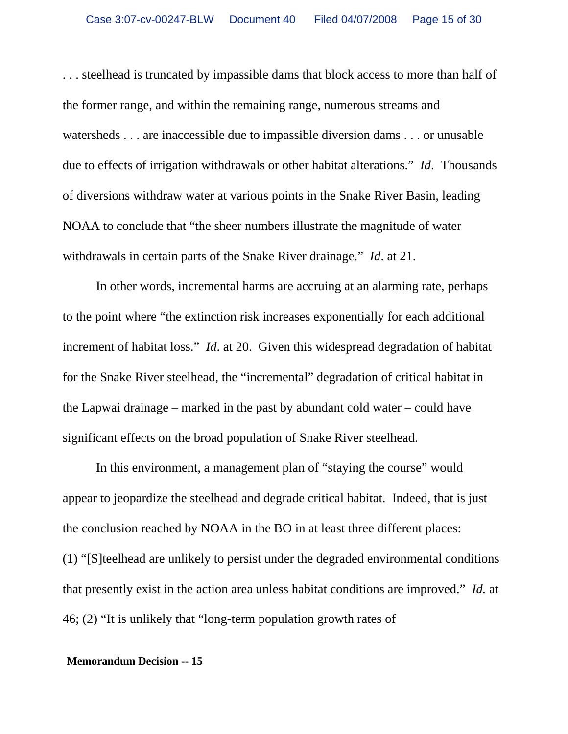. . . steelhead is truncated by impassible dams that block access to more than half of the former range, and within the remaining range, numerous streams and watersheds . . . are inaccessible due to impassible diversion dams . . . or unusable due to effects of irrigation withdrawals or other habitat alterations." *Id*. Thousands of diversions withdraw water at various points in the Snake River Basin, leading NOAA to conclude that "the sheer numbers illustrate the magnitude of water withdrawals in certain parts of the Snake River drainage." *Id*. at 21.

In other words, incremental harms are accruing at an alarming rate, perhaps to the point where "the extinction risk increases exponentially for each additional increment of habitat loss." *Id*. at 20. Given this widespread degradation of habitat for the Snake River steelhead, the "incremental" degradation of critical habitat in the Lapwai drainage – marked in the past by abundant cold water – could have significant effects on the broad population of Snake River steelhead.

In this environment, a management plan of "staying the course" would appear to jeopardize the steelhead and degrade critical habitat. Indeed, that is just the conclusion reached by NOAA in the BO in at least three different places: (1) "[S]teelhead are unlikely to persist under the degraded environmental conditions that presently exist in the action area unless habitat conditions are improved." *Id.* at 46; (2) "It is unlikely that "long-term population growth rates of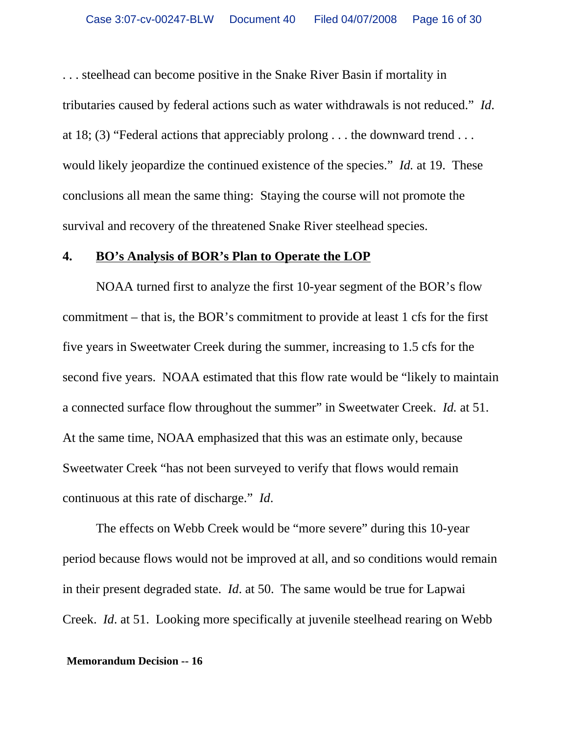. . . steelhead can become positive in the Snake River Basin if mortality in tributaries caused by federal actions such as water withdrawals is not reduced." *Id*. at 18; (3) "Federal actions that appreciably prolong . . . the downward trend . . . would likely jeopardize the continued existence of the species." *Id.* at 19. These conclusions all mean the same thing: Staying the course will not promote the survival and recovery of the threatened Snake River steelhead species.

# **4. BO's Analysis of BOR's Plan to Operate the LOP**

NOAA turned first to analyze the first 10-year segment of the BOR's flow commitment – that is, the BOR's commitment to provide at least 1 cfs for the first five years in Sweetwater Creek during the summer, increasing to 1.5 cfs for the second five years. NOAA estimated that this flow rate would be "likely to maintain a connected surface flow throughout the summer" in Sweetwater Creek. *Id.* at 51. At the same time, NOAA emphasized that this was an estimate only, because Sweetwater Creek "has not been surveyed to verify that flows would remain continuous at this rate of discharge." *Id*.

The effects on Webb Creek would be "more severe" during this 10-year period because flows would not be improved at all, and so conditions would remain in their present degraded state. *Id*. at 50. The same would be true for Lapwai Creek. *Id*. at 51. Looking more specifically at juvenile steelhead rearing on Webb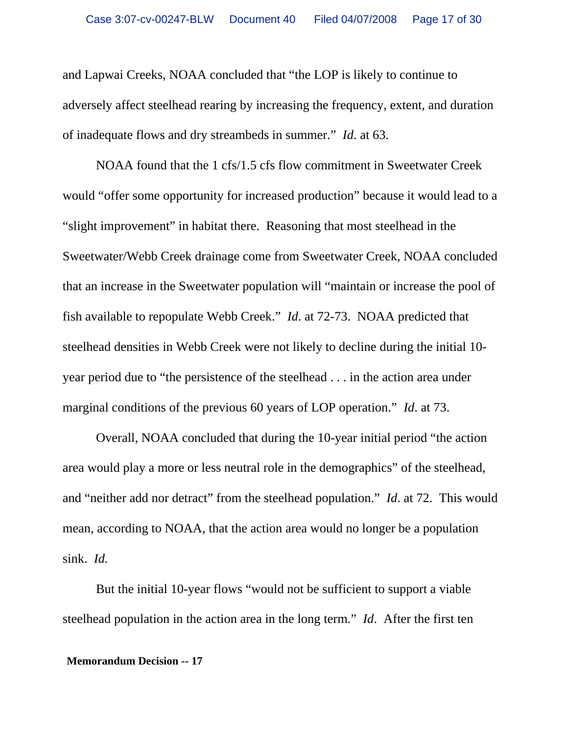and Lapwai Creeks, NOAA concluded that "the LOP is likely to continue to adversely affect steelhead rearing by increasing the frequency, extent, and duration of inadequate flows and dry streambeds in summer." *Id*. at 63.

NOAA found that the 1 cfs/1.5 cfs flow commitment in Sweetwater Creek would "offer some opportunity for increased production" because it would lead to a "slight improvement" in habitat there. Reasoning that most steelhead in the Sweetwater/Webb Creek drainage come from Sweetwater Creek, NOAA concluded that an increase in the Sweetwater population will "maintain or increase the pool of fish available to repopulate Webb Creek." *Id*. at 72-73. NOAA predicted that steelhead densities in Webb Creek were not likely to decline during the initial 10 year period due to "the persistence of the steelhead . . . in the action area under marginal conditions of the previous 60 years of LOP operation." *Id*. at 73.

Overall, NOAA concluded that during the 10-year initial period "the action area would play a more or less neutral role in the demographics" of the steelhead, and "neither add nor detract" from the steelhead population." *Id*. at 72. This would mean, according to NOAA, that the action area would no longer be a population sink. *Id.*

But the initial 10-year flows "would not be sufficient to support a viable steelhead population in the action area in the long term." *Id*. After the first ten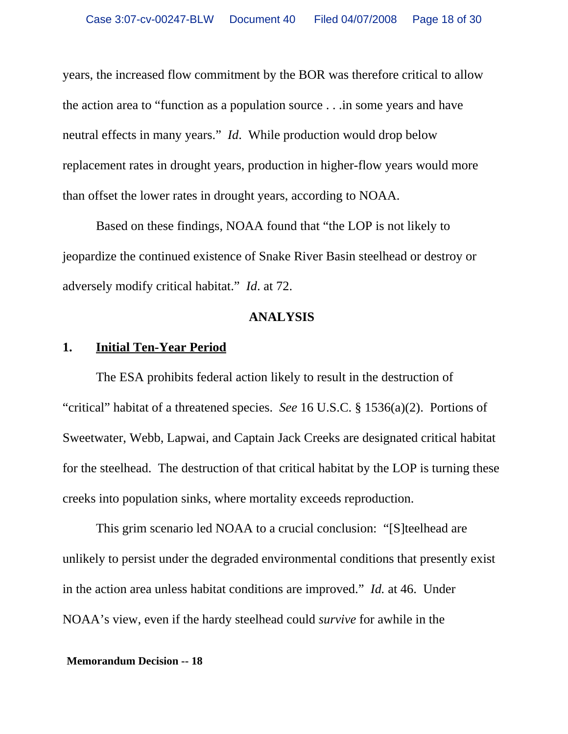years, the increased flow commitment by the BOR was therefore critical to allow the action area to "function as a population source . . .in some years and have neutral effects in many years." *Id*. While production would drop below replacement rates in drought years, production in higher-flow years would more than offset the lower rates in drought years, according to NOAA.

Based on these findings, NOAA found that "the LOP is not likely to jeopardize the continued existence of Snake River Basin steelhead or destroy or adversely modify critical habitat." *Id*. at 72.

### **ANALYSIS**

# **1. Initial Ten-Year Period**

The ESA prohibits federal action likely to result in the destruction of "critical" habitat of a threatened species. *See* 16 U.S.C. § 1536(a)(2). Portions of Sweetwater, Webb, Lapwai, and Captain Jack Creeks are designated critical habitat for the steelhead. The destruction of that critical habitat by the LOP is turning these creeks into population sinks, where mortality exceeds reproduction.

This grim scenario led NOAA to a crucial conclusion: "[S]teelhead are unlikely to persist under the degraded environmental conditions that presently exist in the action area unless habitat conditions are improved." *Id.* at 46. Under NOAA's view, even if the hardy steelhead could *survive* for awhile in the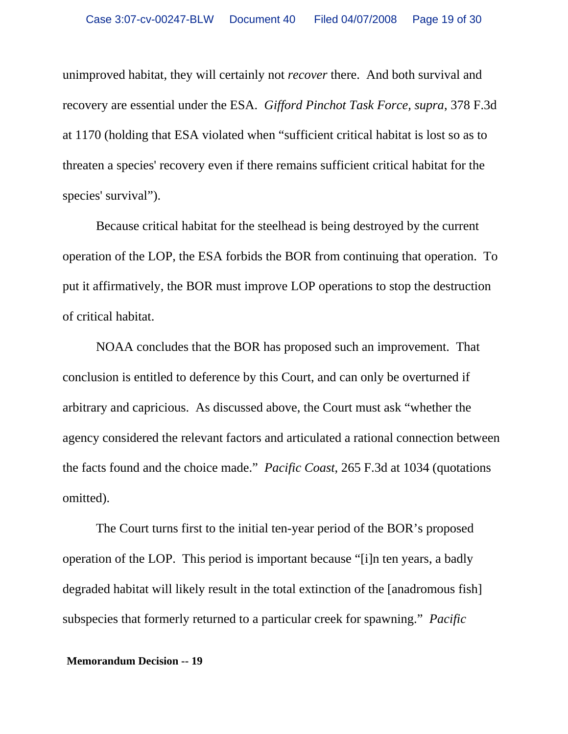unimproved habitat, they will certainly not *recover* there. And both survival and recovery are essential under the ESA. *Gifford Pinchot Task Force, supra*, 378 F.3d at 1170 (holding that ESA violated when "sufficient critical habitat is lost so as to threaten a species' recovery even if there remains sufficient critical habitat for the species' survival").

Because critical habitat for the steelhead is being destroyed by the current operation of the LOP, the ESA forbids the BOR from continuing that operation. To put it affirmatively, the BOR must improve LOP operations to stop the destruction of critical habitat.

NOAA concludes that the BOR has proposed such an improvement. That conclusion is entitled to deference by this Court, and can only be overturned if arbitrary and capricious. As discussed above, the Court must ask "whether the agency considered the relevant factors and articulated a rational connection between the facts found and the choice made." *Pacific Coast*, 265 F.3d at 1034 (quotations omitted).

The Court turns first to the initial ten-year period of the BOR's proposed operation of the LOP. This period is important because "[i]n ten years, a badly degraded habitat will likely result in the total extinction of the [anadromous fish] subspecies that formerly returned to a particular creek for spawning." *Pacific*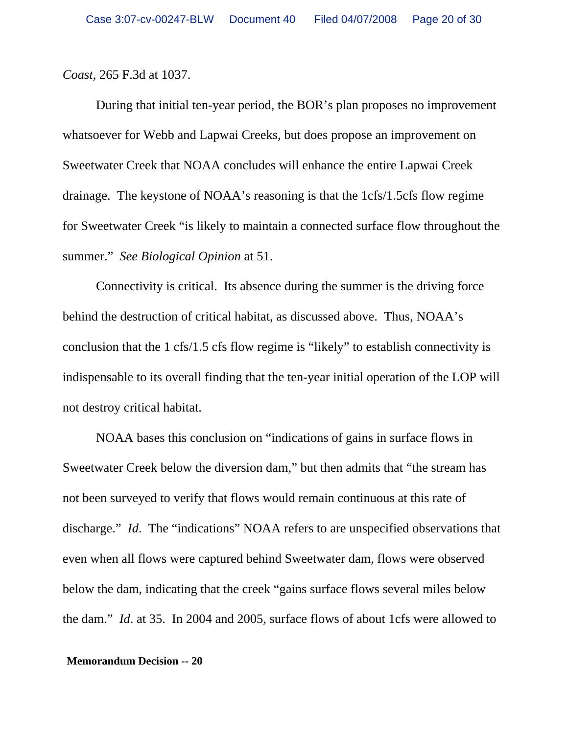### *Coast*, 265 F.3d at 1037.

During that initial ten-year period, the BOR's plan proposes no improvement whatsoever for Webb and Lapwai Creeks, but does propose an improvement on Sweetwater Creek that NOAA concludes will enhance the entire Lapwai Creek drainage. The keystone of NOAA's reasoning is that the 1cfs/1.5cfs flow regime for Sweetwater Creek "is likely to maintain a connected surface flow throughout the summer." *See Biological Opinion* at 51.

Connectivity is critical. Its absence during the summer is the driving force behind the destruction of critical habitat, as discussed above. Thus, NOAA's conclusion that the 1 cfs/1.5 cfs flow regime is "likely" to establish connectivity is indispensable to its overall finding that the ten-year initial operation of the LOP will not destroy critical habitat.

NOAA bases this conclusion on "indications of gains in surface flows in Sweetwater Creek below the diversion dam," but then admits that "the stream has not been surveyed to verify that flows would remain continuous at this rate of discharge." *Id*. The "indications" NOAA refers to are unspecified observations that even when all flows were captured behind Sweetwater dam, flows were observed below the dam, indicating that the creek "gains surface flows several miles below the dam." *Id*. at 35. In 2004 and 2005, surface flows of about 1cfs were allowed to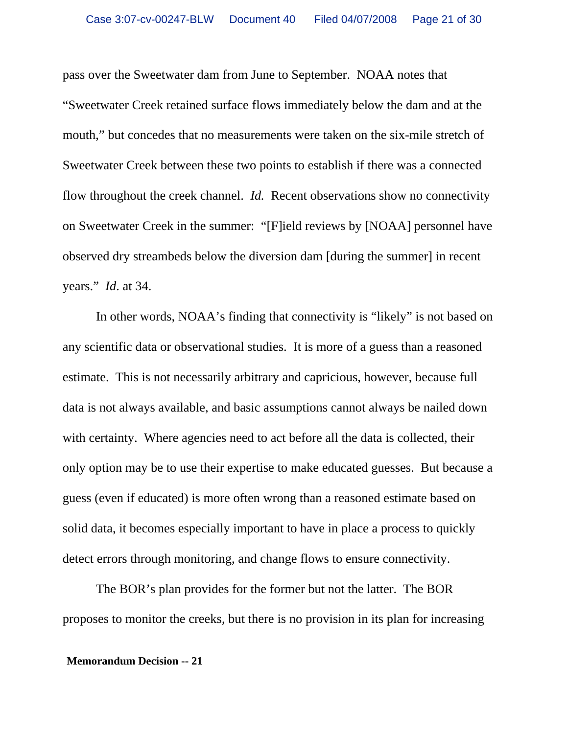pass over the Sweetwater dam from June to September. NOAA notes that "Sweetwater Creek retained surface flows immediately below the dam and at the mouth," but concedes that no measurements were taken on the six-mile stretch of Sweetwater Creek between these two points to establish if there was a connected flow throughout the creek channel. *Id.* Recent observations show no connectivity on Sweetwater Creek in the summer: "[F]ield reviews by [NOAA] personnel have observed dry streambeds below the diversion dam [during the summer] in recent years." *Id*. at 34.

In other words, NOAA's finding that connectivity is "likely" is not based on any scientific data or observational studies. It is more of a guess than a reasoned estimate. This is not necessarily arbitrary and capricious, however, because full data is not always available, and basic assumptions cannot always be nailed down with certainty. Where agencies need to act before all the data is collected, their only option may be to use their expertise to make educated guesses. But because a guess (even if educated) is more often wrong than a reasoned estimate based on solid data, it becomes especially important to have in place a process to quickly detect errors through monitoring, and change flows to ensure connectivity.

The BOR's plan provides for the former but not the latter. The BOR proposes to monitor the creeks, but there is no provision in its plan for increasing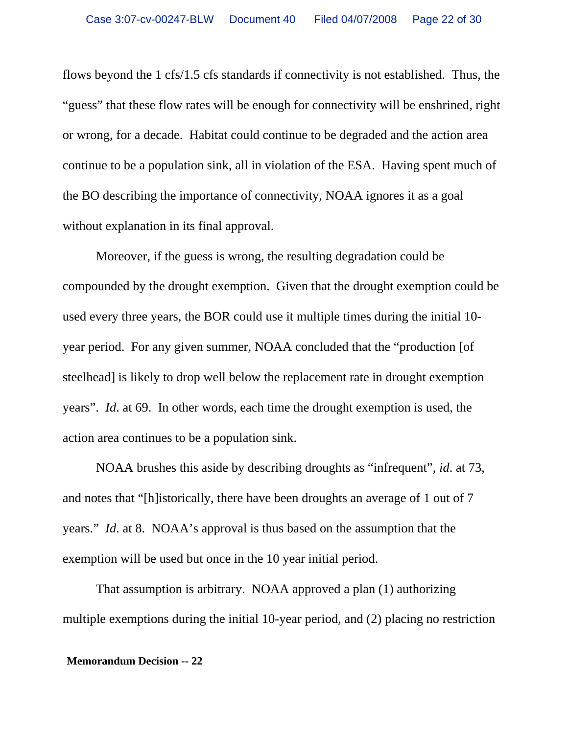flows beyond the 1 cfs/1.5 cfs standards if connectivity is not established. Thus, the "guess" that these flow rates will be enough for connectivity will be enshrined, right or wrong, for a decade. Habitat could continue to be degraded and the action area continue to be a population sink, all in violation of the ESA. Having spent much of the BO describing the importance of connectivity, NOAA ignores it as a goal without explanation in its final approval.

Moreover, if the guess is wrong, the resulting degradation could be compounded by the drought exemption. Given that the drought exemption could be used every three years, the BOR could use it multiple times during the initial 10 year period. For any given summer, NOAA concluded that the "production [of steelhead] is likely to drop well below the replacement rate in drought exemption years". *Id*. at 69. In other words, each time the drought exemption is used, the action area continues to be a population sink.

NOAA brushes this aside by describing droughts as "infrequent", *id*. at 73, and notes that "[h]istorically, there have been droughts an average of 1 out of 7 years." *Id*. at 8. NOAA's approval is thus based on the assumption that the exemption will be used but once in the 10 year initial period.

That assumption is arbitrary. NOAA approved a plan (1) authorizing multiple exemptions during the initial 10-year period, and (2) placing no restriction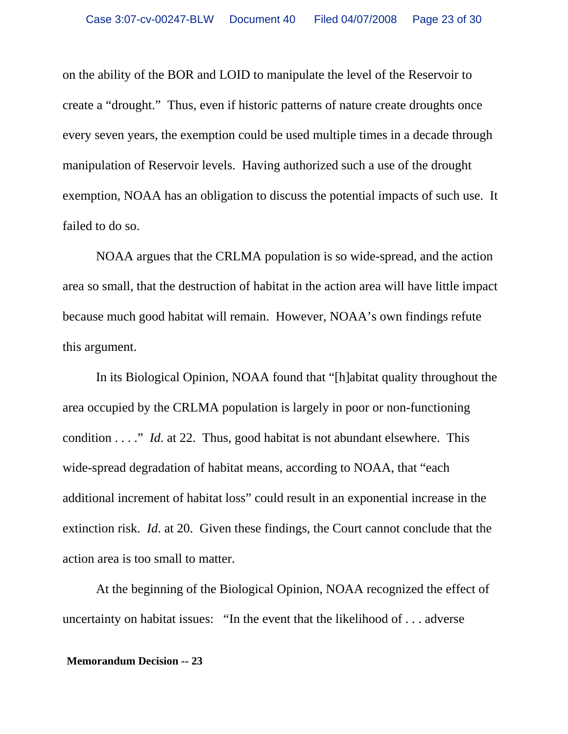on the ability of the BOR and LOID to manipulate the level of the Reservoir to create a "drought." Thus, even if historic patterns of nature create droughts once every seven years, the exemption could be used multiple times in a decade through manipulation of Reservoir levels. Having authorized such a use of the drought exemption, NOAA has an obligation to discuss the potential impacts of such use. It failed to do so.

NOAA argues that the CRLMA population is so wide-spread, and the action area so small, that the destruction of habitat in the action area will have little impact because much good habitat will remain. However, NOAA's own findings refute this argument.

In its Biological Opinion, NOAA found that "[h]abitat quality throughout the area occupied by the CRLMA population is largely in poor or non-functioning condition . . . ." *Id*. at 22. Thus, good habitat is not abundant elsewhere. This wide-spread degradation of habitat means, according to NOAA, that "each additional increment of habitat loss" could result in an exponential increase in the extinction risk. *Id*. at 20. Given these findings, the Court cannot conclude that the action area is too small to matter.

At the beginning of the Biological Opinion, NOAA recognized the effect of uncertainty on habitat issues: "In the event that the likelihood of . . . adverse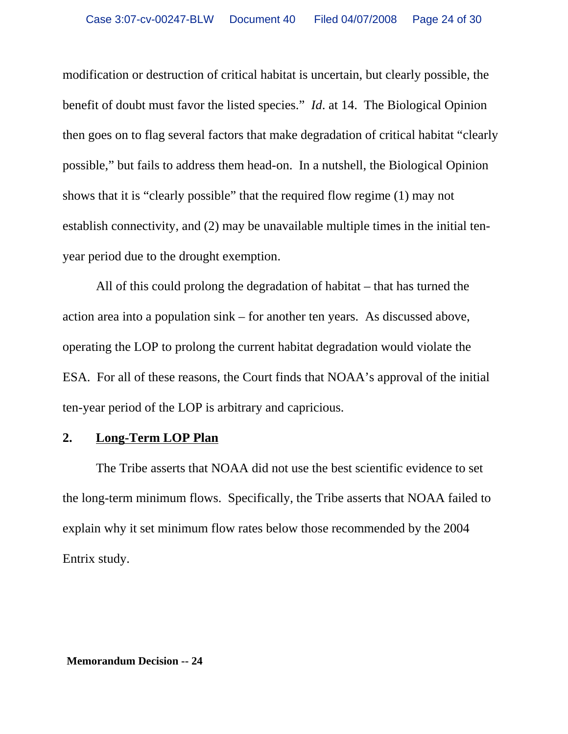modification or destruction of critical habitat is uncertain, but clearly possible, the benefit of doubt must favor the listed species." *Id*. at 14. The Biological Opinion then goes on to flag several factors that make degradation of critical habitat "clearly possible," but fails to address them head-on. In a nutshell, the Biological Opinion shows that it is "clearly possible" that the required flow regime (1) may not establish connectivity, and (2) may be unavailable multiple times in the initial tenyear period due to the drought exemption.

All of this could prolong the degradation of habitat – that has turned the action area into a population sink – for another ten years. As discussed above, operating the LOP to prolong the current habitat degradation would violate the ESA. For all of these reasons, the Court finds that NOAA's approval of the initial ten-year period of the LOP is arbitrary and capricious.

## **2. Long-Term LOP Plan**

The Tribe asserts that NOAA did not use the best scientific evidence to set the long-term minimum flows. Specifically, the Tribe asserts that NOAA failed to explain why it set minimum flow rates below those recommended by the 2004 Entrix study.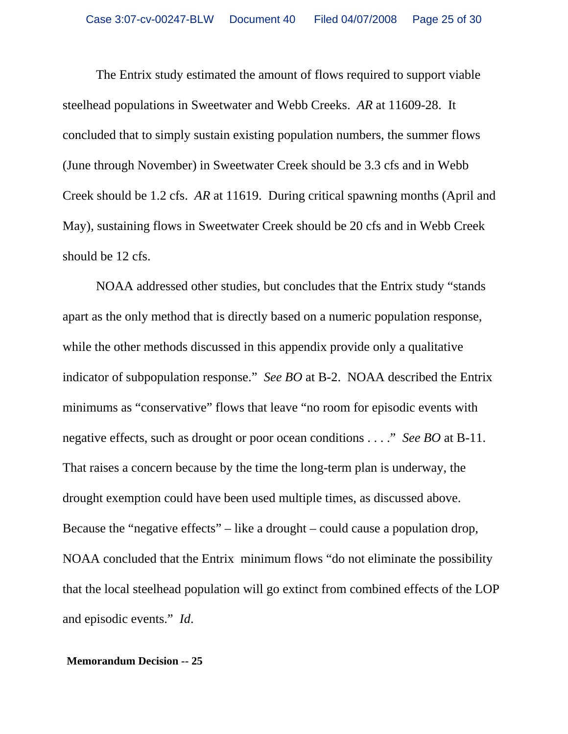The Entrix study estimated the amount of flows required to support viable steelhead populations in Sweetwater and Webb Creeks. *AR* at 11609-28. It concluded that to simply sustain existing population numbers, the summer flows (June through November) in Sweetwater Creek should be 3.3 cfs and in Webb Creek should be 1.2 cfs. *AR* at 11619. During critical spawning months (April and May), sustaining flows in Sweetwater Creek should be 20 cfs and in Webb Creek should be 12 cfs.

NOAA addressed other studies, but concludes that the Entrix study "stands apart as the only method that is directly based on a numeric population response, while the other methods discussed in this appendix provide only a qualitative indicator of subpopulation response." *See BO* at B-2. NOAA described the Entrix minimums as "conservative" flows that leave "no room for episodic events with negative effects, such as drought or poor ocean conditions . . . ." *See BO* at B-11. That raises a concern because by the time the long-term plan is underway, the drought exemption could have been used multiple times, as discussed above. Because the "negative effects" – like a drought – could cause a population drop, NOAA concluded that the Entrix minimum flows "do not eliminate the possibility that the local steelhead population will go extinct from combined effects of the LOP and episodic events." *Id*.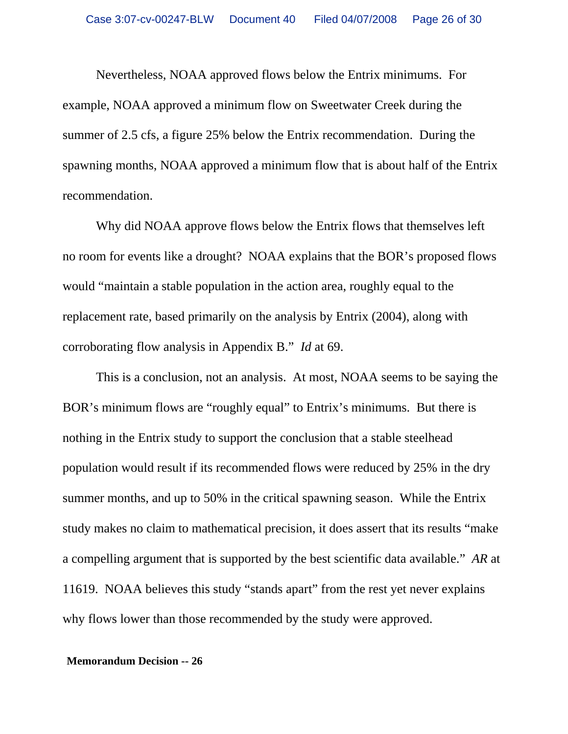Nevertheless, NOAA approved flows below the Entrix minimums. For example, NOAA approved a minimum flow on Sweetwater Creek during the summer of 2.5 cfs, a figure 25% below the Entrix recommendation. During the spawning months, NOAA approved a minimum flow that is about half of the Entrix recommendation.

Why did NOAA approve flows below the Entrix flows that themselves left no room for events like a drought? NOAA explains that the BOR's proposed flows would "maintain a stable population in the action area, roughly equal to the replacement rate, based primarily on the analysis by Entrix (2004), along with corroborating flow analysis in Appendix B." *Id* at 69.

This is a conclusion, not an analysis. At most, NOAA seems to be saying the BOR's minimum flows are "roughly equal" to Entrix's minimums. But there is nothing in the Entrix study to support the conclusion that a stable steelhead population would result if its recommended flows were reduced by 25% in the dry summer months, and up to 50% in the critical spawning season. While the Entrix study makes no claim to mathematical precision, it does assert that its results "make a compelling argument that is supported by the best scientific data available." *AR* at 11619. NOAA believes this study "stands apart" from the rest yet never explains why flows lower than those recommended by the study were approved.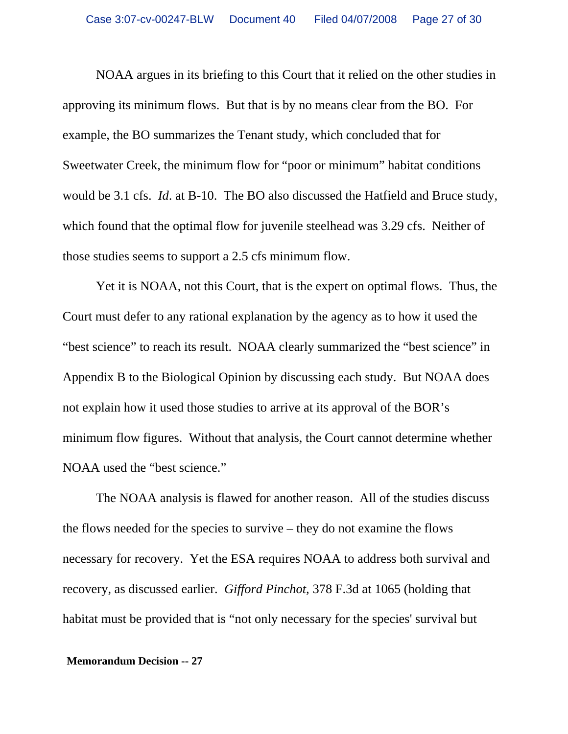NOAA argues in its briefing to this Court that it relied on the other studies in approving its minimum flows. But that is by no means clear from the BO. For example, the BO summarizes the Tenant study, which concluded that for Sweetwater Creek, the minimum flow for "poor or minimum" habitat conditions would be 3.1 cfs. *Id*. at B-10. The BO also discussed the Hatfield and Bruce study, which found that the optimal flow for juvenile steelhead was 3.29 cfs. Neither of those studies seems to support a 2.5 cfs minimum flow.

Yet it is NOAA, not this Court, that is the expert on optimal flows. Thus, the Court must defer to any rational explanation by the agency as to how it used the "best science" to reach its result. NOAA clearly summarized the "best science" in Appendix B to the Biological Opinion by discussing each study. But NOAA does not explain how it used those studies to arrive at its approval of the BOR's minimum flow figures. Without that analysis, the Court cannot determine whether NOAA used the "best science."

The NOAA analysis is flawed for another reason. All of the studies discuss the flows needed for the species to survive – they do not examine the flows necessary for recovery. Yet the ESA requires NOAA to address both survival and recovery, as discussed earlier. *Gifford Pinchot,* 378 F.3d at 1065 (holding that habitat must be provided that is "not only necessary for the species' survival but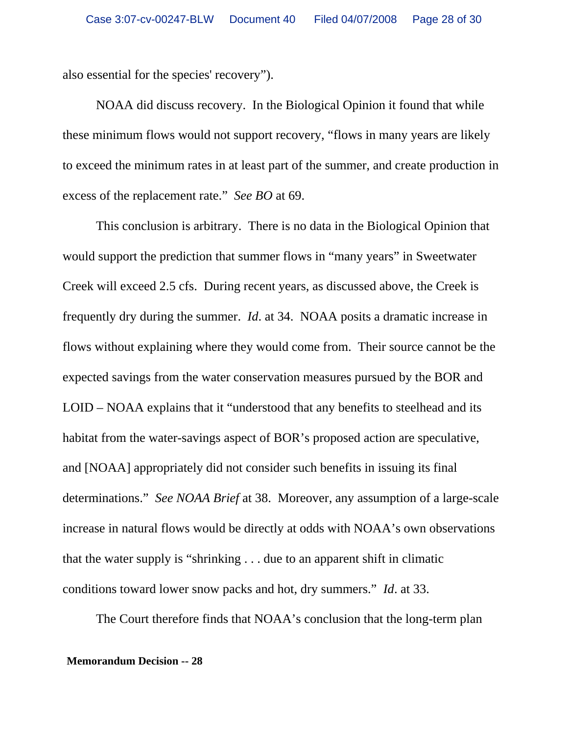also essential for the species' recovery").

NOAA did discuss recovery. In the Biological Opinion it found that while these minimum flows would not support recovery, "flows in many years are likely to exceed the minimum rates in at least part of the summer, and create production in excess of the replacement rate." *See BO* at 69.

This conclusion is arbitrary. There is no data in the Biological Opinion that would support the prediction that summer flows in "many years" in Sweetwater Creek will exceed 2.5 cfs. During recent years, as discussed above, the Creek is frequently dry during the summer. *Id*. at 34. NOAA posits a dramatic increase in flows without explaining where they would come from. Their source cannot be the expected savings from the water conservation measures pursued by the BOR and LOID – NOAA explains that it "understood that any benefits to steelhead and its habitat from the water-savings aspect of BOR's proposed action are speculative, and [NOAA] appropriately did not consider such benefits in issuing its final determinations." *See NOAA Brief* at 38. Moreover, any assumption of a large-scale increase in natural flows would be directly at odds with NOAA's own observations that the water supply is "shrinking . . . due to an apparent shift in climatic conditions toward lower snow packs and hot, dry summers." *Id*. at 33.

The Court therefore finds that NOAA's conclusion that the long-term plan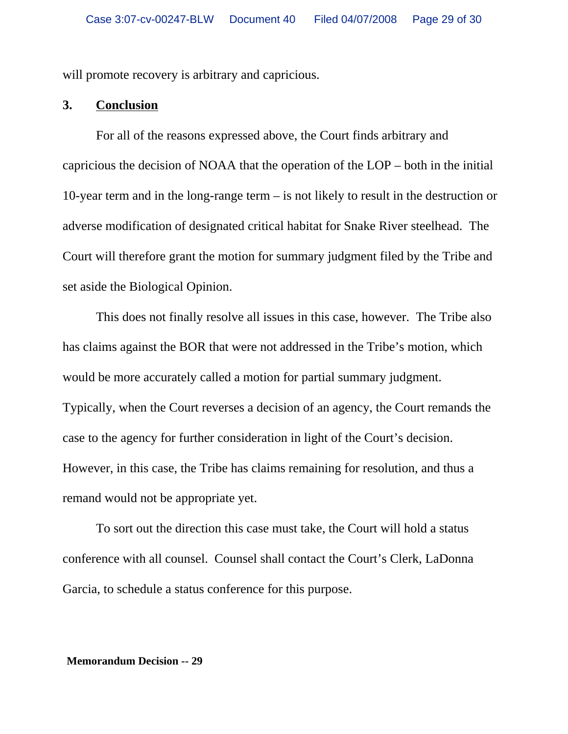will promote recovery is arbitrary and capricious.

## **3. Conclusion**

For all of the reasons expressed above, the Court finds arbitrary and capricious the decision of NOAA that the operation of the LOP – both in the initial 10-year term and in the long-range term – is not likely to result in the destruction or adverse modification of designated critical habitat for Snake River steelhead. The Court will therefore grant the motion for summary judgment filed by the Tribe and set aside the Biological Opinion.

This does not finally resolve all issues in this case, however. The Tribe also has claims against the BOR that were not addressed in the Tribe's motion, which would be more accurately called a motion for partial summary judgment. Typically, when the Court reverses a decision of an agency, the Court remands the case to the agency for further consideration in light of the Court's decision. However, in this case, the Tribe has claims remaining for resolution, and thus a remand would not be appropriate yet.

To sort out the direction this case must take, the Court will hold a status conference with all counsel. Counsel shall contact the Court's Clerk, LaDonna Garcia, to schedule a status conference for this purpose.